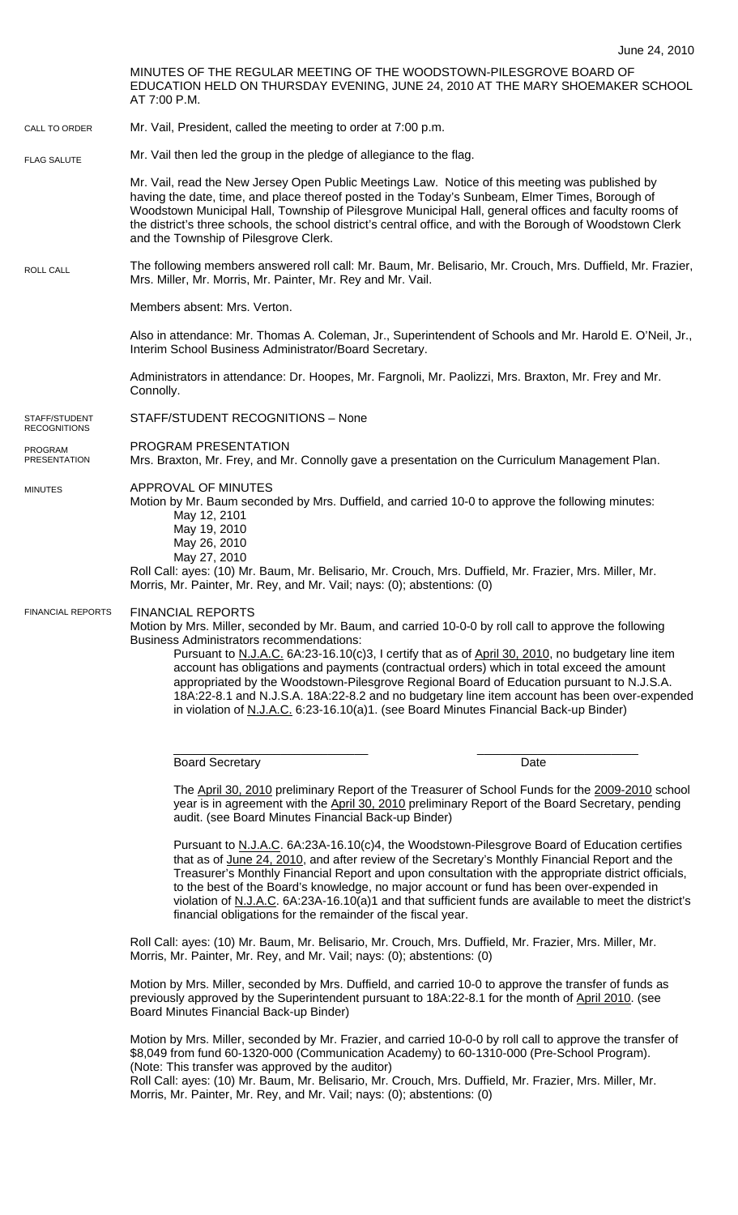MINUTES OF THE REGULAR MEETING OF THE WOODSTOWN-PILESGROVE BOARD OF EDUCATION HELD ON THURSDAY EVENING, JUNE 24, 2010 AT THE MARY SHOEMAKER SCHOOL AT 7:00 P.M. Mr. Vail, President, called the meeting to order at 7:00 p.m. Mr. Vail then led the group in the pledge of allegiance to the flag. Mr. Vail, read the New Jersey Open Public Meetings Law. Notice of this meeting was published by having the date, time, and place thereof posted in the Today's Sunbeam, Elmer Times, Borough of Woodstown Municipal Hall, Township of Pilesgrove Municipal Hall, general offices and faculty rooms of the district's three schools, the school district's central office, and with the Borough of Woodstown Clerk and the Township of Pilesgrove Clerk. The following members answered roll call: Mr. Baum, Mr. Belisario, Mr. Crouch, Mrs. Duffield, Mr. Frazier, Mrs. Miller, Mr. Morris, Mr. Painter, Mr. Rey and Mr. Vail. Members absent: Mrs. Verton. Also in attendance: Mr. Thomas A. Coleman, Jr., Superintendent of Schools and Mr. Harold E. O'Neil, Jr., Interim School Business Administrator/Board Secretary. Administrators in attendance: Dr. Hoopes, Mr. Fargnoli, Mr. Paolizzi, Mrs. Braxton, Mr. Frey and Mr. Connolly. STAFF/STUDENT RECOGNITIONS – None PROGRAM PRESENTATION Mrs. Braxton, Mr. Frey, and Mr. Connolly gave a presentation on the Curriculum Management Plan. APPROVAL OF MINUTES Motion by Mr. Baum seconded by Mrs. Duffield, and carried 10-0 to approve the following minutes: May 12, 2101 May 19, 2010 May 26, 2010 May 27, 2010 Roll Call: ayes: (10) Mr. Baum, Mr. Belisario, Mr. Crouch, Mrs. Duffield, Mr. Frazier, Mrs. Miller, Mr. Morris, Mr. Painter, Mr. Rey, and Mr. Vail; nays: (0); abstentions: (0) FINANCIAL REPORTS Motion by Mrs. Miller, seconded by Mr. Baum, and carried 10-0-0 by roll call to approve the following Business Administrators recommendations: Pursuant to N.J.A.C. 6A:23-16.10(c)3, I certify that as of April 30, 2010, no budgetary line item account has obligations and payments (contractual orders) which in total exceed the amount appropriated by the Woodstown-Pilesgrove Regional Board of Education pursuant to N.J.S.A. 18A:22-8.1 and N.J.S.A. 18A:22-8.2 and no budgetary line item account has been over-expended in violation of N.J.A.C. 6:23-16.10(a)1. (see Board Minutes Financial Back-up Binder) \_\_\_\_\_\_\_\_\_\_\_\_\_\_\_\_\_\_\_\_\_\_\_\_\_\_\_\_\_ \_\_\_\_\_\_\_\_\_\_\_\_\_\_\_\_\_\_\_\_\_\_\_\_ Board Secretary **Date** The April 30, 2010 preliminary Report of the Treasurer of School Funds for the 2009-2010 school year is in agreement with the April 30, 2010 preliminary Report of the Board Secretary, pending audit. (see Board Minutes Financial Back-up Binder) Pursuant to N.J.A.C. 6A:23A-16.10(c)4, the Woodstown-Pilesgrove Board of Education certifies that as of June 24, 2010, and after review of the Secretary's Monthly Financial Report and the Treasurer's Monthly Financial Report and upon consultation with the appropriate district officials, to the best of the Board's knowledge, no major account or fund has been over-expended in violation of N.J.A.C. 6A:23A-16.10(a)1 and that sufficient funds are available to meet the district's financial obligations for the remainder of the fiscal year. Roll Call: ayes: (10) Mr. Baum, Mr. Belisario, Mr. Crouch, Mrs. Duffield, Mr. Frazier, Mrs. Miller, Mr. Morris, Mr. Painter, Mr. Rey, and Mr. Vail; nays: (0); abstentions: (0) Motion by Mrs. Miller, seconded by Mrs. Duffield, and carried 10-0 to approve the transfer of funds as previously approved by the Superintendent pursuant to 18A:22-8.1 for the month of April 2010. (see Board Minutes Financial Back-up Binder) Motion by Mrs. Miller, seconded by Mr. Frazier, and carried 10-0-0 by roll call to approve the transfer of \$8,049 from fund 60-1320-000 (Communication Academy) to 60-1310-000 (Pre-School Program). (Note: This transfer was approved by the auditor) Roll Call: ayes: (10) Mr. Baum, Mr. Belisario, Mr. Crouch, Mrs. Duffield, Mr. Frazier, Mrs. Miller, Mr. CALL TO ORDER ROLL CALL FLAG SALUTE MINUTES FINANCIAL REPORTS STAFF/STUDENT **RECOGNITIONS** PROGRAM PRESENTATION

Morris, Mr. Painter, Mr. Rey, and Mr. Vail; nays: (0); abstentions: (0)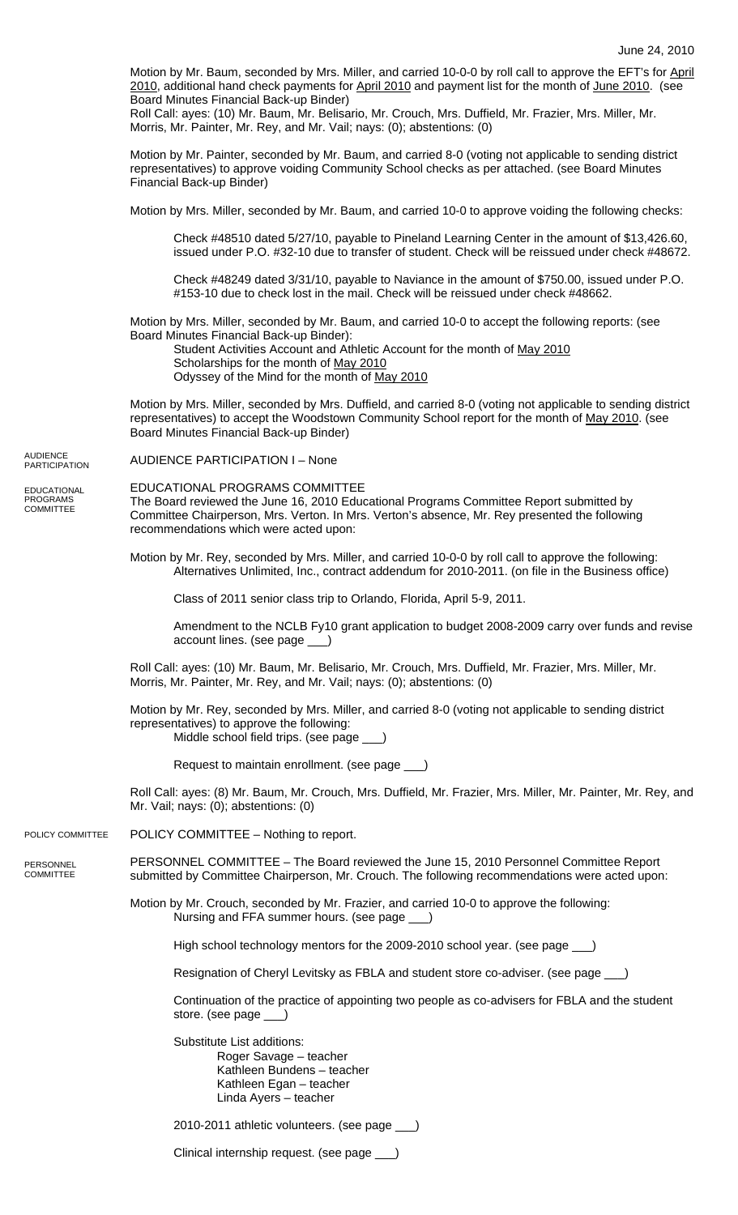Motion by Mr. Baum, seconded by Mrs. Miller, and carried 10-0-0 by roll call to approve the EFT's for April 2010, additional hand check payments for April 2010 and payment list for the month of June 2010. (see Board Minutes Financial Back-up Binder)

Roll Call: ayes: (10) Mr. Baum, Mr. Belisario, Mr. Crouch, Mrs. Duffield, Mr. Frazier, Mrs. Miller, Mr. Morris, Mr. Painter, Mr. Rey, and Mr. Vail; nays: (0); abstentions: (0)

Motion by Mr. Painter, seconded by Mr. Baum, and carried 8-0 (voting not applicable to sending district representatives) to approve voiding Community School checks as per attached. (see Board Minutes Financial Back-up Binder)

Motion by Mrs. Miller, seconded by Mr. Baum, and carried 10-0 to approve voiding the following checks:

Check #48510 dated 5/27/10, payable to Pineland Learning Center in the amount of \$13,426.60, issued under P.O. #32-10 due to transfer of student. Check will be reissued under check #48672.

Check #48249 dated 3/31/10, payable to Naviance in the amount of \$750.00, issued under P.O. #153-10 due to check lost in the mail. Check will be reissued under check #48662.

Motion by Mrs. Miller, seconded by Mr. Baum, and carried 10-0 to accept the following reports: (see Board Minutes Financial Back-up Binder):

Student Activities Account and Athletic Account for the month of May 2010 Scholarships for the month of May 2010

Odyssey of the Mind for the month of May 2010

Motion by Mrs. Miller, seconded by Mrs. Duffield, and carried 8-0 (voting not applicable to sending district representatives) to accept the Woodstown Community School report for the month of May 2010. (see Board Minutes Financial Back-up Binder)

AUDIENCE PARTICIPATION I – None AUDIENCE PARTICIPATION

PROGRAMS COMMITTEE

## EDUCATIONAL PROGRAMS COMMITTEE EDUCATIONAL

The Board reviewed the June 16, 2010 Educational Programs Committee Report submitted by Committee Chairperson, Mrs. Verton. In Mrs. Verton's absence, Mr. Rey presented the following recommendations which were acted upon:

Motion by Mr. Rey, seconded by Mrs. Miller, and carried 10-0-0 by roll call to approve the following: Alternatives Unlimited, Inc., contract addendum for 2010-2011. (on file in the Business office)

Class of 2011 senior class trip to Orlando, Florida, April 5-9, 2011.

Amendment to the NCLB Fy10 grant application to budget 2008-2009 carry over funds and revise account lines. (see page \_\_\_)

Roll Call: ayes: (10) Mr. Baum, Mr. Belisario, Mr. Crouch, Mrs. Duffield, Mr. Frazier, Mrs. Miller, Mr. Morris, Mr. Painter, Mr. Rey, and Mr. Vail; nays: (0); abstentions: (0)

Motion by Mr. Rey, seconded by Mrs. Miller, and carried 8-0 (voting not applicable to sending district representatives) to approve the following: Middle school field trips. (see page \_\_\_)

Request to maintain enrollment. (see page \_\_\_)

Roll Call: ayes: (8) Mr. Baum, Mr. Crouch, Mrs. Duffield, Mr. Frazier, Mrs. Miller, Mr. Painter, Mr. Rey, and Mr. Vail; nays: (0); abstentions: (0)

POLICY COMMITTEE – Nothing to report. POLICY COMMITTEE

PERSONNEL COMMITTEE – The Board reviewed the June 15, 2010 Personnel Committee Report submitted by Committee Chairperson, Mr. Crouch. The following recommendations were acted upon: **PERSONNEL COMMITTEE** 

> Motion by Mr. Crouch, seconded by Mr. Frazier, and carried 10-0 to approve the following: Nursing and FFA summer hours. (see page \_\_\_)

High school technology mentors for the 2009-2010 school year. (see page \_\_\_)

Resignation of Cheryl Levitsky as FBLA and student store co-adviser. (see page \_\_\_)

Continuation of the practice of appointing two people as co-advisers for FBLA and the student store. (see page \_\_\_)

Substitute List additions: Roger Savage – teacher Kathleen Bundens – teacher Kathleen Egan – teacher Linda Ayers – teacher

2010-2011 athletic volunteers. (see page \_\_\_)

Clinical internship request. (see page \_\_\_)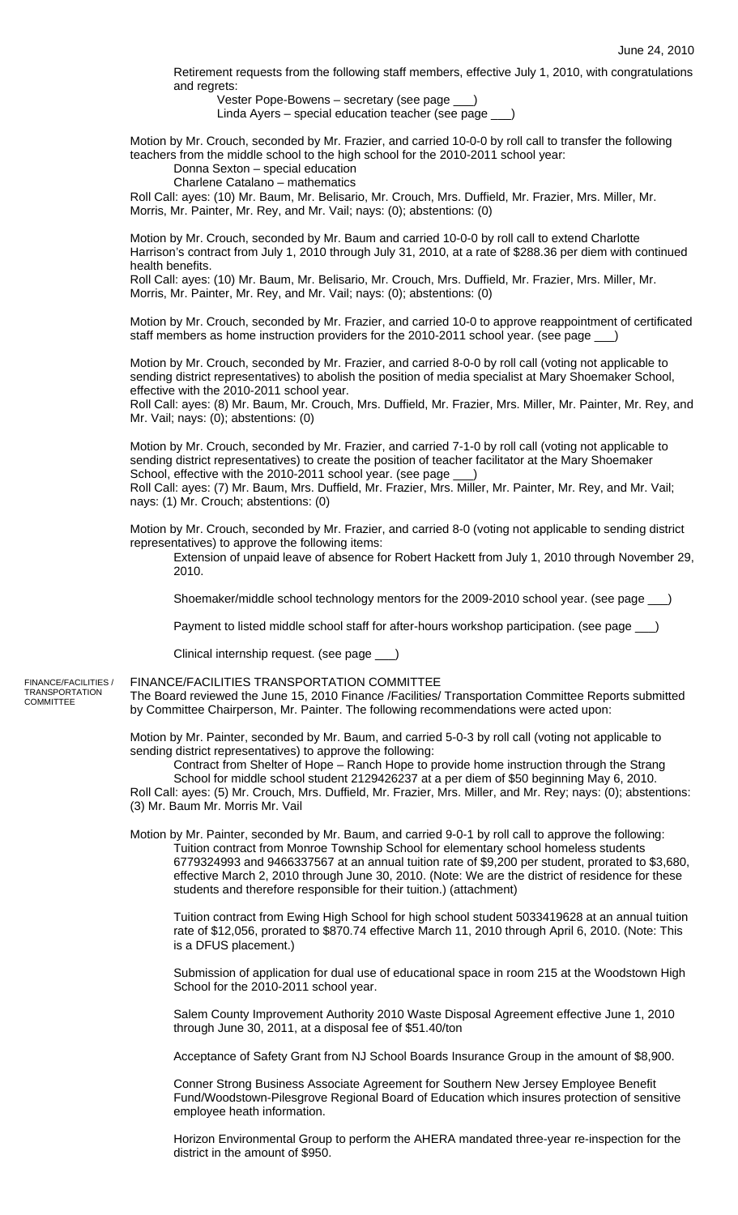Retirement requests from the following staff members, effective July 1, 2010, with congratulations and regrets:

Vester Pope-Bowens – secretary (see page \_\_\_)

Linda Ayers – special education teacher (see page \_\_\_)

Motion by Mr. Crouch, seconded by Mr. Frazier, and carried 10-0-0 by roll call to transfer the following teachers from the middle school to the high school for the 2010-2011 school year:

Donna Sexton – special education Charlene Catalano – mathematics

Roll Call: ayes: (10) Mr. Baum, Mr. Belisario, Mr. Crouch, Mrs. Duffield, Mr. Frazier, Mrs. Miller, Mr. Morris, Mr. Painter, Mr. Rey, and Mr. Vail; nays: (0); abstentions: (0)

Motion by Mr. Crouch, seconded by Mr. Baum and carried 10-0-0 by roll call to extend Charlotte Harrison's contract from July 1, 2010 through July 31, 2010, at a rate of \$288.36 per diem with continued health benefits.

Roll Call: ayes: (10) Mr. Baum, Mr. Belisario, Mr. Crouch, Mrs. Duffield, Mr. Frazier, Mrs. Miller, Mr. Morris, Mr. Painter, Mr. Rey, and Mr. Vail; nays: (0); abstentions: (0)

Motion by Mr. Crouch, seconded by Mr. Frazier, and carried 10-0 to approve reappointment of certificated staff members as home instruction providers for the 2010-2011 school year. (see page

Motion by Mr. Crouch, seconded by Mr. Frazier, and carried 8-0-0 by roll call (voting not applicable to sending district representatives) to abolish the position of media specialist at Mary Shoemaker School, effective with the 2010-2011 school year.

Roll Call: ayes: (8) Mr. Baum, Mr. Crouch, Mrs. Duffield, Mr. Frazier, Mrs. Miller, Mr. Painter, Mr. Rey, and Mr. Vail; nays: (0); abstentions: (0)

Motion by Mr. Crouch, seconded by Mr. Frazier, and carried 7-1-0 by roll call (voting not applicable to sending district representatives) to create the position of teacher facilitator at the Mary Shoemaker School, effective with the 2010-2011 school year. (see page ) Roll Call: ayes: (7) Mr. Baum, Mrs. Duffield, Mr. Frazier, Mrs. Miller, Mr. Painter, Mr. Rey, and Mr. Vail; nays: (1) Mr. Crouch; abstentions: (0)

Motion by Mr. Crouch, seconded by Mr. Frazier, and carried 8-0 (voting not applicable to sending district representatives) to approve the following items:

Extension of unpaid leave of absence for Robert Hackett from July 1, 2010 through November 29, 2010.

Shoemaker/middle school technology mentors for the 2009-2010 school year. (see page \_

Payment to listed middle school staff for after-hours workshop participation. (see page \_

Clinical internship request. (see page \_\_\_)

FINANCE/FACILITIES / TRANSPORTATION COMMITTEE

FINANCE/FACILITIES TRANSPORTATION COMMITTEE

The Board reviewed the June 15, 2010 Finance /Facilities/ Transportation Committee Reports submitted by Committee Chairperson, Mr. Painter. The following recommendations were acted upon:

Motion by Mr. Painter, seconded by Mr. Baum, and carried 5-0-3 by roll call (voting not applicable to sending district representatives) to approve the following:

Contract from Shelter of Hope – Ranch Hope to provide home instruction through the Strang School for middle school student 2129426237 at a per diem of \$50 beginning May 6, 2010. Roll Call: ayes: (5) Mr. Crouch, Mrs. Duffield, Mr. Frazier, Mrs. Miller, and Mr. Rey; nays: (0); abstentions: (3) Mr. Baum Mr. Morris Mr. Vail

Motion by Mr. Painter, seconded by Mr. Baum, and carried 9-0-1 by roll call to approve the following: Tuition contract from Monroe Township School for elementary school homeless students 6779324993 and 9466337567 at an annual tuition rate of \$9,200 per student, prorated to \$3,680, effective March 2, 2010 through June 30, 2010. (Note: We are the district of residence for these students and therefore responsible for their tuition.) (attachment)

Tuition contract from Ewing High School for high school student 5033419628 at an annual tuition rate of \$12,056, prorated to \$870.74 effective March 11, 2010 through April 6, 2010. (Note: This is a DFUS placement.)

Submission of application for dual use of educational space in room 215 at the Woodstown High School for the 2010-2011 school year.

Salem County Improvement Authority 2010 Waste Disposal Agreement effective June 1, 2010 through June 30, 2011, at a disposal fee of \$51.40/ton

Acceptance of Safety Grant from NJ School Boards Insurance Group in the amount of \$8,900.

Conner Strong Business Associate Agreement for Southern New Jersey Employee Benefit Fund/Woodstown-Pilesgrove Regional Board of Education which insures protection of sensitive employee heath information.

Horizon Environmental Group to perform the AHERA mandated three-year re-inspection for the district in the amount of \$950.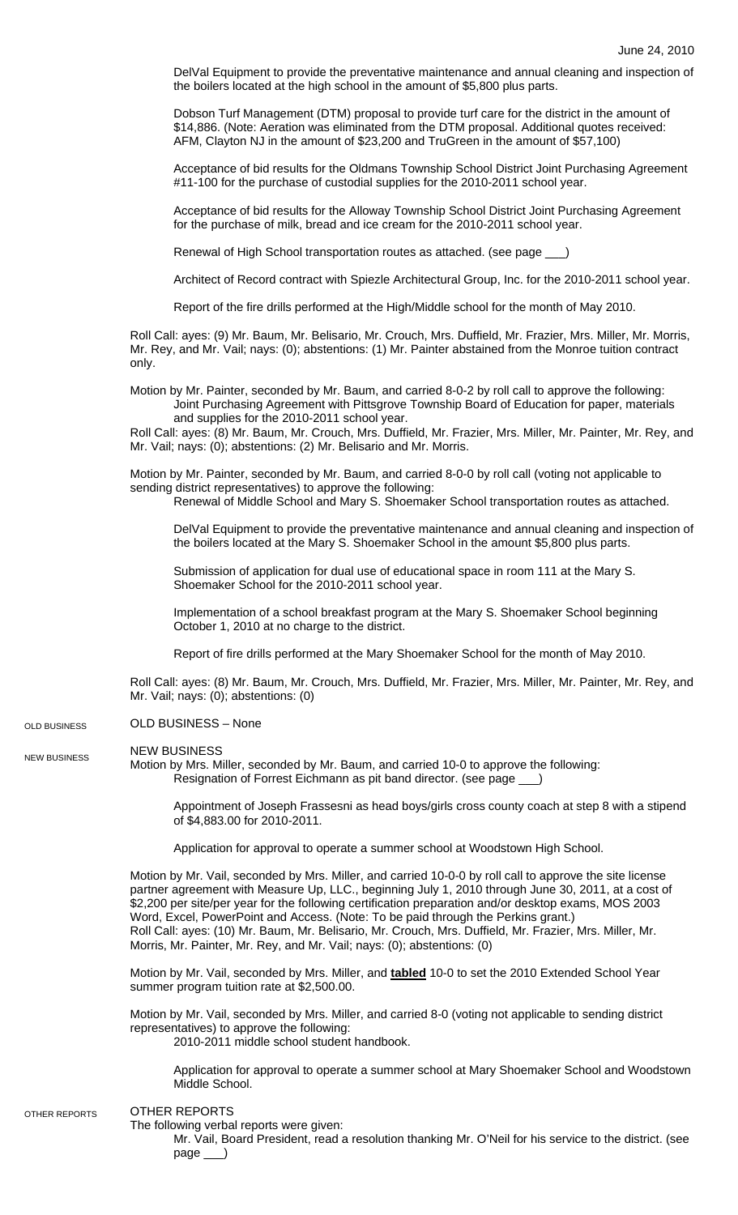DelVal Equipment to provide the preventative maintenance and annual cleaning and inspection of the boilers located at the high school in the amount of \$5,800 plus parts.

Dobson Turf Management (DTM) proposal to provide turf care for the district in the amount of \$14,886. (Note: Aeration was eliminated from the DTM proposal. Additional quotes received: AFM, Clayton NJ in the amount of \$23,200 and TruGreen in the amount of \$57,100)

Acceptance of bid results for the Oldmans Township School District Joint Purchasing Agreement #11-100 for the purchase of custodial supplies for the 2010-2011 school year.

Acceptance of bid results for the Alloway Township School District Joint Purchasing Agreement for the purchase of milk, bread and ice cream for the 2010-2011 school year.

Renewal of High School transportation routes as attached. (see page \_\_\_)

Architect of Record contract with Spiezle Architectural Group, Inc. for the 2010-2011 school year.

Report of the fire drills performed at the High/Middle school for the month of May 2010.

Roll Call: ayes: (9) Mr. Baum, Mr. Belisario, Mr. Crouch, Mrs. Duffield, Mr. Frazier, Mrs. Miller, Mr. Morris, Mr. Rey, and Mr. Vail; nays: (0); abstentions: (1) Mr. Painter abstained from the Monroe tuition contract only.

Motion by Mr. Painter, seconded by Mr. Baum, and carried 8-0-2 by roll call to approve the following: Joint Purchasing Agreement with Pittsgrove Township Board of Education for paper, materials and supplies for the 2010-2011 school year.

Roll Call: ayes: (8) Mr. Baum, Mr. Crouch, Mrs. Duffield, Mr. Frazier, Mrs. Miller, Mr. Painter, Mr. Rey, and Mr. Vail; nays: (0); abstentions: (2) Mr. Belisario and Mr. Morris.

Motion by Mr. Painter, seconded by Mr. Baum, and carried 8-0-0 by roll call (voting not applicable to sending district representatives) to approve the following:

Renewal of Middle School and Mary S. Shoemaker School transportation routes as attached.

DelVal Equipment to provide the preventative maintenance and annual cleaning and inspection of the boilers located at the Mary S. Shoemaker School in the amount \$5,800 plus parts.

Submission of application for dual use of educational space in room 111 at the Mary S. Shoemaker School for the 2010-2011 school year.

Implementation of a school breakfast program at the Mary S. Shoemaker School beginning October 1, 2010 at no charge to the district.

Report of fire drills performed at the Mary Shoemaker School for the month of May 2010.

Roll Call: ayes: (8) Mr. Baum, Mr. Crouch, Mrs. Duffield, Mr. Frazier, Mrs. Miller, Mr. Painter, Mr. Rey, and Mr. Vail; nays: (0); abstentions: (0)

## OLD BUSINESS – None OLD BUSINESS

## NEW BUSINESS NEW BUSINESS

Motion by Mrs. Miller, seconded by Mr. Baum, and carried 10-0 to approve the following: Resignation of Forrest Eichmann as pit band director. (see page \_\_\_)

Appointment of Joseph Frassesni as head boys/girls cross county coach at step 8 with a stipend of \$4,883.00 for 2010-2011.

Application for approval to operate a summer school at Woodstown High School.

Motion by Mr. Vail, seconded by Mrs. Miller, and carried 10-0-0 by roll call to approve the site license partner agreement with Measure Up, LLC., beginning July 1, 2010 through June 30, 2011, at a cost of \$2,200 per site/per year for the following certification preparation and/or desktop exams, MOS 2003 Word, Excel, PowerPoint and Access. (Note: To be paid through the Perkins grant.) Roll Call: ayes: (10) Mr. Baum, Mr. Belisario, Mr. Crouch, Mrs. Duffield, Mr. Frazier, Mrs. Miller, Mr. Morris, Mr. Painter, Mr. Rey, and Mr. Vail; nays: (0); abstentions: (0)

Motion by Mr. Vail, seconded by Mrs. Miller, and **tabled** 10-0 to set the 2010 Extended School Year summer program tuition rate at \$2,500.00.

Motion by Mr. Vail, seconded by Mrs. Miller, and carried 8-0 (voting not applicable to sending district representatives) to approve the following:

2010-2011 middle school student handbook.

Application for approval to operate a summer school at Mary Shoemaker School and Woodstown Middle School.

## OTHER REPORTS OTHER REPORTS

The following verbal reports were given:

Mr. Vail, Board President, read a resolution thanking Mr. O'Neil for his service to the district. (see page \_\_\_)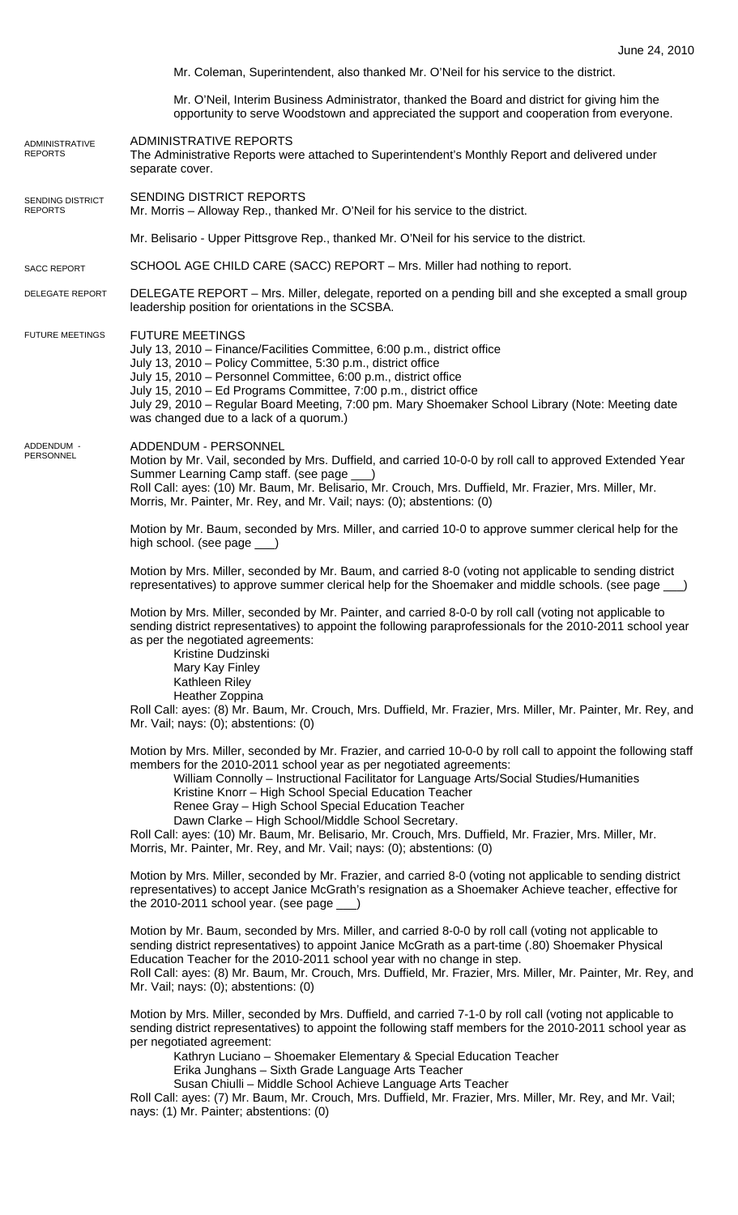Mr. Coleman, Superintendent, also thanked Mr. O'Neil for his service to the district. Mr. O'Neil, Interim Business Administrator, thanked the Board and district for giving him the opportunity to serve Woodstown and appreciated the support and cooperation from everyone. ADMINISTRATIVE REPORTS The Administrative Reports were attached to Superintendent's Monthly Report and delivered under separate cover. SENDING DISTRICT REPORTS Mr. Morris – Alloway Rep., thanked Mr. O'Neil for his service to the district. Mr. Belisario - Upper Pittsgrove Rep., thanked Mr. O'Neil for his service to the district. SCHOOL AGE CHILD CARE (SACC) REPORT – Mrs. Miller had nothing to report. DELEGATE REPORT – Mrs. Miller, delegate, reported on a pending bill and she excepted a small group leadership position for orientations in the SCSBA. FUTURE MEETINGS July 13, 2010 – Finance/Facilities Committee, 6:00 p.m., district office July 13, 2010 – Policy Committee, 5:30 p.m., district office July 15, 2010 – Personnel Committee, 6:00 p.m., district office July 15, 2010 – Ed Programs Committee, 7:00 p.m., district office July 29, 2010 – Regular Board Meeting, 7:00 pm. Mary Shoemaker School Library (Note: Meeting date was changed due to a lack of a quorum.) ADDENDUM - PERSONNEL Motion by Mr. Vail, seconded by Mrs. Duffield, and carried 10-0-0 by roll call to approved Extended Year Summer Learning Camp staff. (see page \_ Roll Call: ayes: (10) Mr. Baum, Mr. Belisario, Mr. Crouch, Mrs. Duffield, Mr. Frazier, Mrs. Miller, Mr. Morris, Mr. Painter, Mr. Rey, and Mr. Vail; nays: (0); abstentions: (0) Motion by Mr. Baum, seconded by Mrs. Miller, and carried 10-0 to approve summer clerical help for the high school. (see page \_\_\_) Motion by Mrs. Miller, seconded by Mr. Baum, and carried 8-0 (voting not applicable to sending district representatives) to approve summer clerical help for the Shoemaker and middle schools. (see page \_ Motion by Mrs. Miller, seconded by Mr. Painter, and carried 8-0-0 by roll call (voting not applicable to sending district representatives) to appoint the following paraprofessionals for the 2010-2011 school year as per the negotiated agreements: Kristine Dudzinski Mary Kay Finley Kathleen Riley Heather Zoppina Roll Call: ayes: (8) Mr. Baum, Mr. Crouch, Mrs. Duffield, Mr. Frazier, Mrs. Miller, Mr. Painter, Mr. Rey, and Mr. Vail; nays: (0); abstentions: (0) Motion by Mrs. Miller, seconded by Mr. Frazier, and carried 10-0-0 by roll call to appoint the following staff members for the 2010-2011 school year as per negotiated agreements: William Connolly – Instructional Facilitator for Language Arts/Social Studies/Humanities Kristine Knorr – High School Special Education Teacher Renee Gray – High School Special Education Teacher Dawn Clarke – High School/Middle School Secretary. Roll Call: ayes: (10) Mr. Baum, Mr. Belisario, Mr. Crouch, Mrs. Duffield, Mr. Frazier, Mrs. Miller, Mr. Morris, Mr. Painter, Mr. Rey, and Mr. Vail; nays: (0); abstentions: (0) Motion by Mrs. Miller, seconded by Mr. Frazier, and carried 8-0 (voting not applicable to sending district representatives) to accept Janice McGrath's resignation as a Shoemaker Achieve teacher, effective for the 2010-2011 school year. (see page Motion by Mr. Baum, seconded by Mrs. Miller, and carried 8-0-0 by roll call (voting not applicable to sending district representatives) to appoint Janice McGrath as a part-time (.80) Shoemaker Physical Education Teacher for the 2010-2011 school year with no change in step. Roll Call: ayes: (8) Mr. Baum, Mr. Crouch, Mrs. Duffield, Mr. Frazier, Mrs. Miller, Mr. Painter, Mr. Rey, and Mr. Vail; nays: (0); abstentions: (0) Motion by Mrs. Miller, seconded by Mrs. Duffield, and carried 7-1-0 by roll call (voting not applicable to sending district representatives) to appoint the following staff members for the 2010-2011 school year as per negotiated agreement: Kathryn Luciano – Shoemaker Elementary & Special Education Teacher Erika Junghans – Sixth Grade Language Arts Teacher Susan Chiulli – Middle School Achieve Language Arts Teacher Roll Call: ayes: (7) Mr. Baum, Mr. Crouch, Mrs. Duffield, Mr. Frazier, Mrs. Miller, Mr. Rey, and Mr. Vail; nays: (1) Mr. Painter; abstentions: (0) ADMINISTRATIVE REPORTS SENDING DISTRICT REPORTS FUTURE MEETINGS DELEGATE REPORT SACC REPORT ADDENDUM - **PERSONNEL**